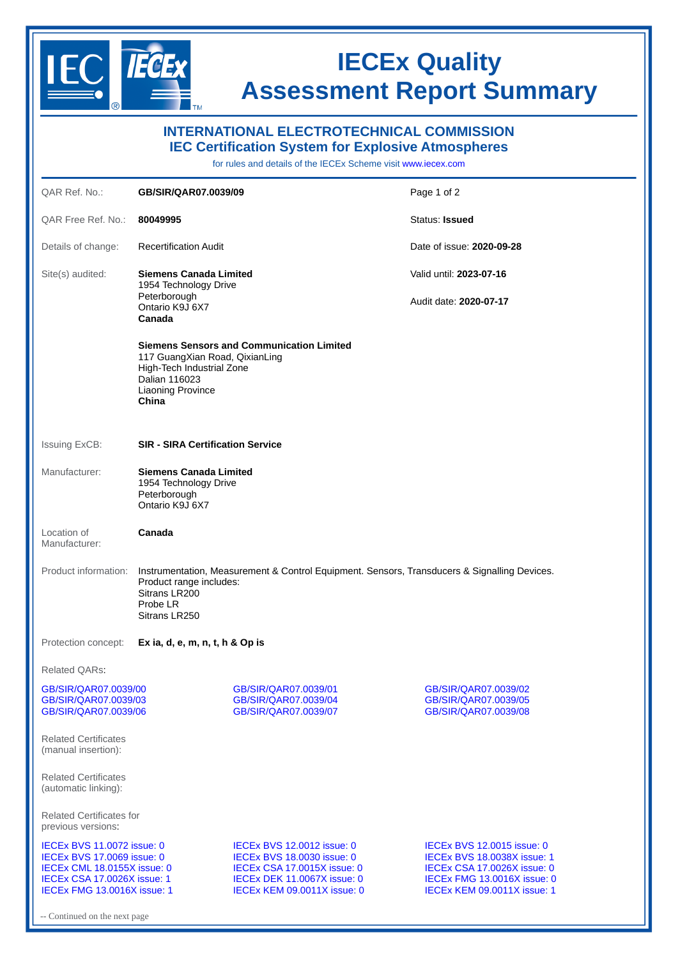

Continued on the next page

## **IECEx Quality Assessment Report Summary**

| <b>INTERNATIONAL ELECTROTECHNICAL COMMISSION</b><br><b>IEC Certification System for Explosive Atmospheres</b><br>for rules and details of the IECEx Scheme visit www.jecex.com |                                                                                                                                                                       |                                                                                                                                                                     |                                                                                                                                                                             |  |
|--------------------------------------------------------------------------------------------------------------------------------------------------------------------------------|-----------------------------------------------------------------------------------------------------------------------------------------------------------------------|---------------------------------------------------------------------------------------------------------------------------------------------------------------------|-----------------------------------------------------------------------------------------------------------------------------------------------------------------------------|--|
| QAR Ref. No.:                                                                                                                                                                  | GB/SIR/QAR07.0039/09                                                                                                                                                  |                                                                                                                                                                     | Page 1 of 2                                                                                                                                                                 |  |
| QAR Free Ref. No.:                                                                                                                                                             | 80049995                                                                                                                                                              |                                                                                                                                                                     | Status: Issued                                                                                                                                                              |  |
| Details of change:                                                                                                                                                             | <b>Recertification Audit</b>                                                                                                                                          |                                                                                                                                                                     | Date of issue: 2020-09-28                                                                                                                                                   |  |
| Site(s) audited:                                                                                                                                                               | <b>Siemens Canada Limited</b><br>1954 Technology Drive                                                                                                                |                                                                                                                                                                     | Valid until: 2023-07-16                                                                                                                                                     |  |
|                                                                                                                                                                                | Peterborough<br>Ontario K9J 6X7<br>Canada                                                                                                                             |                                                                                                                                                                     | Audit date: 2020-07-17                                                                                                                                                      |  |
|                                                                                                                                                                                | 117 GuangXian Road, QixianLing<br>High-Tech Industrial Zone<br>Dalian 116023<br><b>Liaoning Province</b><br>China                                                     | <b>Siemens Sensors and Communication Limited</b>                                                                                                                    |                                                                                                                                                                             |  |
| <b>Issuing ExCB:</b>                                                                                                                                                           | <b>SIR - SIRA Certification Service</b>                                                                                                                               |                                                                                                                                                                     |                                                                                                                                                                             |  |
| Manufacturer:                                                                                                                                                                  | <b>Siemens Canada Limited</b><br>1954 Technology Drive<br>Peterborough<br>Ontario K9J 6X7                                                                             |                                                                                                                                                                     |                                                                                                                                                                             |  |
| Location of<br>Manufacturer:                                                                                                                                                   | Canada                                                                                                                                                                |                                                                                                                                                                     |                                                                                                                                                                             |  |
| Product information:                                                                                                                                                           | Instrumentation, Measurement & Control Equipment. Sensors, Transducers & Signalling Devices.<br>Product range includes:<br>Sitrans LR200<br>Probe LR<br>Sitrans LR250 |                                                                                                                                                                     |                                                                                                                                                                             |  |
| Protection concept:<br>Ex ia, d, e, m, n, t, h & Op is                                                                                                                         |                                                                                                                                                                       |                                                                                                                                                                     |                                                                                                                                                                             |  |
| Related QARs:                                                                                                                                                                  |                                                                                                                                                                       |                                                                                                                                                                     |                                                                                                                                                                             |  |
| GB/SIR/QAR07.0039/00<br>GB/SIR/QAR07.0039/03<br>GB/SIR/QAR07.0039/06                                                                                                           |                                                                                                                                                                       | GB/SIR/OAR07.0039/01<br>GB/SIR/QAR07.0039/04<br>GB/SIR/QAR07.0039/07                                                                                                | GB/SIR/QAR07.0039/02<br>GB/SIR/QAR07.0039/05<br>GB/SIR/QAR07.0039/08                                                                                                        |  |
| <b>Related Certificates</b><br>(manual insertion):                                                                                                                             |                                                                                                                                                                       |                                                                                                                                                                     |                                                                                                                                                                             |  |
| <b>Related Certificates</b><br>(automatic linking):                                                                                                                            |                                                                                                                                                                       |                                                                                                                                                                     |                                                                                                                                                                             |  |
| Related Certificates for<br>previous versions.                                                                                                                                 |                                                                                                                                                                       |                                                                                                                                                                     |                                                                                                                                                                             |  |
| IECEX BVS 11.0072 issue: 0<br>IECEX BVS 17.0069 issue: 0<br>IECEx CML 18.0155X issue: 0<br><b>IECEX CSA 17.0026X issue: 1</b><br>IECEX FMG 13.0016X issue: 1                   |                                                                                                                                                                       | <b>IECEX BVS 12.0012 issue: 0</b><br><b>IECEX BVS 18.0030 issue: 0</b><br>IECEX CSA 17.0015X issue: 0<br>IECEX DEK 11.0067X issue: 0<br>IECEX KEM 09.0011X issue: 0 | <b>IECEX BVS 12.0015 issue: 0</b><br><b>IECEX BVS 18.0038X issue: 1</b><br><b>IECEX CSA 17.0026X issue: 0</b><br>IECEX FMG 13.0016X issue: 0<br>IECEX KEM 09.0011X issue: 1 |  |